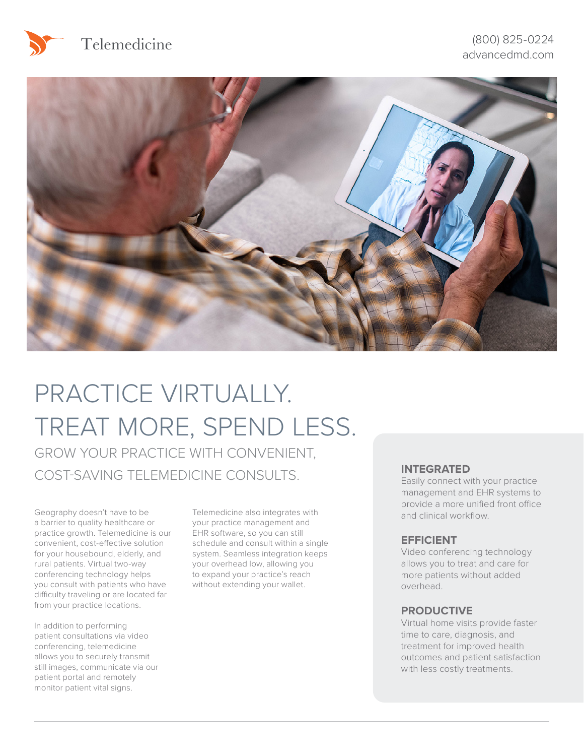





# PRACTICE VIRTUALLY. TREAT MORE, SPEND LESS.

GROW YOUR PRACTICE WITH CONVENIENT, COST-SAVING TELEMEDICINE CONSULTS. **INTEGRATED**

Geography doesn't have to be a barrier to quality healthcare or practice growth. Telemedicine is our convenient, cost-effective solution for your housebound, elderly, and rural patients. Virtual two-way conferencing technology helps you consult with patients who have difficulty traveling or are located far from your practice locations.

In addition to performing patient consultations via video conferencing, telemedicine allows you to securely transmit still images, communicate via our patient portal and remotely monitor patient vital signs.

Telemedicine also integrates with your practice management and EHR software, so you can still schedule and consult within a single system. Seamless integration keeps your overhead low, allowing you to expand your practice's reach without extending your wallet.

Easily connect with your practice management and EHR systems to provide a more unified front office and clinical workflow.

#### **EFFICIENT**

Video conferencing technology allows you to treat and care for more patients without added overhead.

#### **PRODUCTIVE**

Virtual home visits provide faster time to care, diagnosis, and treatment for improved health outcomes and patient satisfaction with less costly treatments.